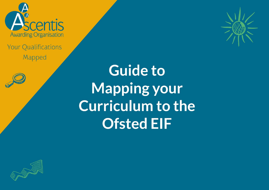

**Your Qualifications** Mapped



**Guide to Mapping your Curriculum to the Ofsted EIF** 

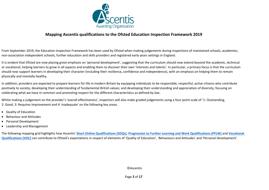

## **Mapping Ascentis qualifications to the Ofsted Education Inspection Framework 2019**

From September 2019, the Education Inspection Framework has been used by Ofsted when making judgements during inspections of maintained schools, academies, non-association independent schools, further education and skills providers and registered early years settings in England.

It is evident that Ofsted are now placing great emphasis on 'personal development', suggesting that the curriculum should now extend beyond the academic, technical or vocational, helping learners to grow in all aspects and enabling them to discover their own 'interests and talents'. In particular, a primary focus is that the curriculum should now support learners in developing their character (including their resilience**,** confidence and independence), with an emphasis on helping them to remain physically and mentally healthy.

In addition, providers are expected to prepare learners for life in modern Britain by equipping individuals to be responsible, respectful, active citizens who contribute positively to society; developing their understanding of fundamental British values; and developing their understanding and appreciation of diversity, focusing on celebrating what we have in common and promoting respect for the different characteristics as defined by law.

Whilst making a judgement on the provider's 'overall effectiveness', inspectors will also make graded judgements using a four-point scale of '1: Outstanding, 2: Good, 3: Requires Improvement and 4: Inadequate' on the following key areas.

- Quality of Education
- Behaviour and Attitudes
- Personal Development
- Leadership and Management

The following mapping grid highlights how Ascentis' **[Short Online Qualifications \(SOQs\)](https://www.ascentis.co.uk/qualifications/soqs)**, **[Progression to Further Learning and Work Qualifications \(PFLW\)](https://www.ascentis.co.uk/qualifications/progression)** and **[Vocational](https://www.ascentis.co.uk/qualifications/vocational)  [Qualifications \(VOC\)](https://www.ascentis.co.uk/qualifications/vocational)** can contribute to Ofsted's expectations in respect of elements of 'Quality of Education', 'Behaviours and Attitudes' and 'Personal Development'.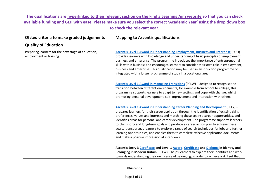## **The qualifications are hyperlinked to their relevant section on the Find a Learning Aim website so that you can check available funding and GLH with ease. Please make sure you select the correct 'Academic Year' using the drop down box to check the relevant year.**

| Ofsted criteria to make graded judgements                                      | <b>Mapping to Ascentis qualifications</b>                                                                                                                                                                                                                                                                                                                                                                                                                                                                                                                                                                                                                                                                 |
|--------------------------------------------------------------------------------|-----------------------------------------------------------------------------------------------------------------------------------------------------------------------------------------------------------------------------------------------------------------------------------------------------------------------------------------------------------------------------------------------------------------------------------------------------------------------------------------------------------------------------------------------------------------------------------------------------------------------------------------------------------------------------------------------------------|
| <b>Quality of Education</b>                                                    |                                                                                                                                                                                                                                                                                                                                                                                                                                                                                                                                                                                                                                                                                                           |
| Preparing learners for the next stage of education,<br>employment or training. | Ascentis Level 1 Award in Understanding Employment, Business and Enterprise (SOQ) -<br>provides learners with knowledge and understanding of basic principles of employment,<br>business and enterprise. The programme introduces the importance of entrepreneurial<br>skills within business and encourages learners to consider their own role in employment,<br>business and enterprise. This qualification may be used in an induction programme or<br>integrated with a longer programme of study in a vocational area.                                                                                                                                                                              |
|                                                                                | Ascentis Level 1 Award in Managing Transitions (PFLW) - designed to recognise the<br>transition between different environments, for example from school to college, this<br>programme supports learners to adapt to new settings and cope with change, whilst<br>promoting personal development, self-improvement and interaction with others.                                                                                                                                                                                                                                                                                                                                                            |
|                                                                                | <b>Ascentis Level 1 Award in Understanding Career Planning and Development (EPLY) -</b><br>prepares learners for their career aspiration through the identification of existing skills,<br>preferences, values and interests and matching these against career opportunities, and<br>identifies areas for personal and career development. The programme supports learners<br>to plan short- and long-term goals and produce a career action plan to achieve these<br>goals. It encourages learners to explore a range of search techniques for jobs and further<br>learning opportunities, and enables them to complete effective application documents<br>and make a positive impression at interviews. |
|                                                                                | Ascentis Entry 3 Certificate and Level 1 Award, Certificate and Diploma in Identity and<br>Belonging in Modern Britain (PFLW) - helps learners to explore their identities and work<br>towards understanding their own sense of belonging, in order to achieve a skill set that                                                                                                                                                                                                                                                                                                                                                                                                                           |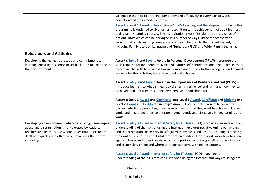|                                                                                                                                                                                                                                                         | will enable them to operate independently and effectively in every part of work,<br>education and life in modern Britain.                                                                                                                                                                                                                                                                                                                                                                                                                                                                                                                                                                                                                                                                                                                                                                                                                                                                      |
|---------------------------------------------------------------------------------------------------------------------------------------------------------------------------------------------------------------------------------------------------------|------------------------------------------------------------------------------------------------------------------------------------------------------------------------------------------------------------------------------------------------------------------------------------------------------------------------------------------------------------------------------------------------------------------------------------------------------------------------------------------------------------------------------------------------------------------------------------------------------------------------------------------------------------------------------------------------------------------------------------------------------------------------------------------------------------------------------------------------------------------------------------------------------------------------------------------------------------------------------------------------|
|                                                                                                                                                                                                                                                         | Ascentis Level 1 Award in Supporting a Child's Learning and Development (PFLW) - this<br>programme is designed to give formal recognition to the achievement of adult learners<br>taking family learning courses. The accreditation is very flexible: there are a range of<br>optional units which can be packaged in a number of ways. These reflect the wide<br>variation of family learning courses on offer, each tailored to their target market,<br>including Family Literacy, Language and Numeracy (FLLN) and Wider Family Learning.                                                                                                                                                                                                                                                                                                                                                                                                                                                   |
| <b>Behaviours and Attitudes</b>                                                                                                                                                                                                                         |                                                                                                                                                                                                                                                                                                                                                                                                                                                                                                                                                                                                                                                                                                                                                                                                                                                                                                                                                                                                |
| Developing the learner's attitude and commitment to<br>learning, ensuring resilience to set-backs and taking pride in<br>their achievements.                                                                                                            | Ascentis <b>Entry 3 and Level 1 Award in Personal Development</b> (PFLW) - promote the<br>skills required for independent living and learner self-confidence, and encourage learners<br>to acquire the skills to progress towards employment. They further recognise and reward<br>learners for the skills they have developed and achieved.<br>Ascentis <b>Entry 3 and Level 1 Award in the Importance of Resilience and Grit</b> (PFLW) -<br>introduce learners to what is meant by the terms 'resilience' and 'grit' and how they can<br>be developed and used to support own behaviour and character.<br>Ascentis Entry 3 Award and Certificate, and Level 1 Award, Certificate and Diploma and<br>Level 2 <b>Award and Certificate</b> in Progression (PFLW) - enable learners to overcome<br>barriers which are preventing them from achieving what they want to achieve in life and<br>work, and encourage them to operate independently and effectively in life, learning and<br>work. |
| Developing an environment whereby bullying, peer-on-peer<br>abuse and discrimination is not tolerated by leaders,<br>teachers and learners and where issues that do occur are<br>dealt with quickly and effectively, preventing them from<br>spreading. | Ascentis Entry 3 Award in Internet Safety for IT Users (SOQ) - provides learners with an<br>understanding of the risks of using the internet. It explores negative online behaviours<br>and the precautions necessary to safeguard themselves and others, including protecting<br>their online reputation and digital footprint. In addition, learners will know how to guard<br>against viruses and other threats, why it is important to follow guidelines to work safely<br>and responsibly online and where to report concerns with online content.<br>Ascentis Level 1 Award in Internet Safety for IT Users (SOQ) - develops an                                                                                                                                                                                                                                                                                                                                                          |
|                                                                                                                                                                                                                                                         | understanding of the risks that can exist when using the internet and ways to safeguard                                                                                                                                                                                                                                                                                                                                                                                                                                                                                                                                                                                                                                                                                                                                                                                                                                                                                                        |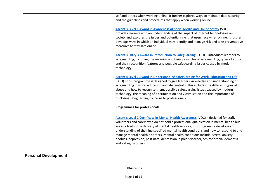|                             | self and others when working online. It further explores ways to maintain data security<br>and the guidelines and procedures that apply when working online.                                                                                                                                                                                                                                                                                                                                                                                                           |
|-----------------------------|------------------------------------------------------------------------------------------------------------------------------------------------------------------------------------------------------------------------------------------------------------------------------------------------------------------------------------------------------------------------------------------------------------------------------------------------------------------------------------------------------------------------------------------------------------------------|
|                             | Ascentis Level 1 Award in Awareness of Social Media and Online Safety (SOQ) -<br>provides learners with an understanding of the impact of internet technologies on<br>society and explores the issues and potential risks that users face when online. It further<br>develops ways in which an individual may identify and manage risk and take preventative<br>measures to stay safe online.                                                                                                                                                                          |
|                             | Ascentis Entry 3 Award in Introduction to Safeguarding (SOQ) - introduces learners to<br>safeguarding, including the meaning and basic principles of safeguarding, types of abuse<br>and their recognition features and possible safeguarding issues caused by modern<br>technology.                                                                                                                                                                                                                                                                                   |
|                             | <b>Ascentis Level 1 Award in Understanding Safeguarding for Work, Education and Life</b><br>(SOQ) - this programme is designed to give learners knowledge and understanding of<br>safeguarding in work, education and life contexts. This includes the different types of<br>abuse and how to recognise them, possible safeguarding issues caused by modern<br>technology, the meaning of discrimination and victimisation and the importance of<br>disclosing safeguarding concerns to professionals.                                                                 |
|                             | <b>Programmes for professionals</b>                                                                                                                                                                                                                                                                                                                                                                                                                                                                                                                                    |
|                             | Ascentis Level 2 Certificate in Mental Health Awareness (VOC) - designed for staff,<br>volunteers and carers who do not hold a professional qualification in mental health but<br>are involved in the delivery of mental health services, this programme develops an<br>understanding of the nine specified mental health conditions and how to respond to and<br>manage mental health disorders. Mental health conditions include: stress, anxiety,<br>phobias, depression, post-natal depression, bipolar disorder, schizophrenia, dementia<br>and eating disorders. |
| <b>Personal Development</b> |                                                                                                                                                                                                                                                                                                                                                                                                                                                                                                                                                                        |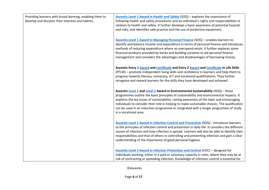| Providing learners with broad learning, enabling them to<br>develop and discover their interests and talents. | Ascentis Level 1 Award in Health and Safety (SOQ) - explores the importance of<br>following health and safety procedures and an individual's rights and responsibilities in<br>relation to health and safety. It further develops a basic awareness of potential hazards<br>and risks, and identifies safe practice and the use of protective equipment.                                                                                                                                  |
|---------------------------------------------------------------------------------------------------------------|-------------------------------------------------------------------------------------------------------------------------------------------------------------------------------------------------------------------------------------------------------------------------------------------------------------------------------------------------------------------------------------------------------------------------------------------------------------------------------------------|
|                                                                                                               | Ascentis Level 1 Award in Managing Personal Finance (SOQ) - enables learners to<br>identify and balance income and expenditure in terms of personal finance and introduces<br>methods of reducing expenditure where an overspend exists. It further explores some<br>financial products provided by banks and building societies to aid personal finance<br>management and considers the advantages and disadvantages of borrowing money.                                                 |
|                                                                                                               | Ascentis Entry 1 Award and Certificate and Entry 2 Award and Certificate in Life Skills<br>(PFLW) – promote independent living skills and confidence in learners and help them to<br>progress towards literacy, numeracy, ICT and vocational qualifications. They further<br>recognise and reward learners for the skills they have developed and achieved.                                                                                                                               |
|                                                                                                               | Ascentis Level 1 and Level 2 Award in Environmental Sustainability (SOQ) - these<br>programmes outline the basic principles of sustainability and environmental impacts. It<br>explores the ley issues of sustainability, raising awareness of the topic and encouraging<br>individuals to consider their role in helping to make sustainable choices. The qualification<br>can be used in an induction programme or integrated with a longer programme of study<br>in a vocational area. |
|                                                                                                               | <b>Ascentis Level 1 Award in Infection Control and Prevention (SOQ) - introduces learners</b><br>to the principles of infection control and prevention in daily life. It considers the different<br>causes of infection and how infection is spread. Learners will also be able to identify their<br>responsibilities and that of others in controlling and preventing infection and gain a clear<br>understanding of the importance of good personal hygiene.                            |
|                                                                                                               | Ascentis Level 2 Award in Infection Prevention and Control (VOC) - designed for<br>individuals working, either in a paid or voluntary capacity in roles, where they may be at<br>risk of contracting or spreading infection. Knowledge of infection control is essential for                                                                                                                                                                                                              |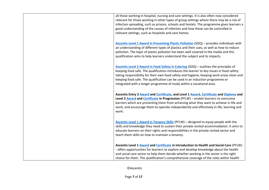| all those working in hospital, nursing and care settings. It is also often now considered<br>relevant for those working in other types of group settings where there may be a risk of<br>infection spreading, such as prisons, schools and hostels. The programme gives learners a<br>good understanding of the causes of infection and how these can be controlled in<br>relevant settings, such as hospitals and care homes.           |
|------------------------------------------------------------------------------------------------------------------------------------------------------------------------------------------------------------------------------------------------------------------------------------------------------------------------------------------------------------------------------------------------------------------------------------------|
| Ascentis Level 1 Award in Preventing Plastic Pollution (SOQ) - provides individuals with<br>an understanding of different types of plastics and their uses, as well as how to reduce<br>pollution. The topic of plastic pollution has been well covered in the media and this<br>qualification aims to help learners understand the subject and its impacts.                                                                             |
| Ascentis Level 2 Award in Food Safety in Catering (SOQ) - outlines the principles of<br>keeping food safe. The qualification introduces the learner to key issues in food safety:<br>taking responsibility for their own food safety and hygiene, keeping work areas clean and<br>keeping food safe. The qualification can be used in an induction programme or<br>integrated with a longer programme of study within a vocational area. |
| Ascentis Entry 3 Award and Certificate, and Level 1 Award, Certificate and Diploma and<br>Level 2 Award and Certificate in Progression (PFLW) - enable learners to overcome<br>barriers which are preventing them from achieving what they want to achieve in life and<br>work, and encourage them to operate independently and effectively in life, learning and<br>work.                                                               |
| Ascentis Level 1 Award in Tenancy Skills (PFLW) - designed to equip people with the<br>skills and knowledge they need to sustain their private rented accommodation. It aims to<br>educate learners on their rights and responsibilities in the private rented sector and<br>teach them skills on how to maintain a tenancy.                                                                                                             |
| Ascentis Level 1 Award and Certificate in Introduction to Health and Social Care (PFLW)<br>- offers opportunities for learners to explore and develop knowledge about the health<br>and social care sector to help them decide whether working in the sector is the right<br>choice for them. The qualification's comprehensive coverage of the roles within health                                                                      |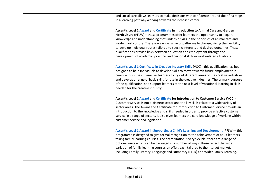| and social care allows learners to make decisions with confidence around their first steps<br>in a learning pathway working towards their chosen career.                                                                                                                                                                                                                                                                                                                                                                                                                                                                 |
|--------------------------------------------------------------------------------------------------------------------------------------------------------------------------------------------------------------------------------------------------------------------------------------------------------------------------------------------------------------------------------------------------------------------------------------------------------------------------------------------------------------------------------------------------------------------------------------------------------------------------|
| Ascentis Level 1 Award and Certificate in Introduction to Animal Care and Garden<br>Horticulture (PFLW) - these programmes offer learners the opportunity to acquire<br>knowledge and understanding that underpin skills in the principles of animal care and<br>garden horticulture. There are a wide range of pathways to choose, giving the flexibility<br>to develop individual routes tailored to specific interests and desired outcomes. These<br>qualifications provide links between education and employment through the<br>development of academic, practical and personal skills in work-related situations. |
| Ascentis Level 1 Certificate in Creative Industry Skills (VOC) - this qualification has been<br>designed to help individuals to develop skills to move towards future employment in<br>creative industries. It enables learners to try out different areas of the creative industries<br>and develop a range of basic skills for use in the creative industries. The primary purpose<br>of the qualification is to support learners to the next level of vocational learning in skills<br>needed for the creative industry.                                                                                              |
| Ascentis Level 1 Award and Certificate for Introduction to Customer Service (VOC) -<br>Customer Service is not a discrete sector and the key skills relate to a wide variety of<br>sector areas. The Award and Certificate for Introduction to Customer Service provide an<br>introduction to the knowledge and skills needed in order to provide effective customer<br>service in a range of sectors. It also gives learners the core knowledge of working within<br>customer service and legislation.                                                                                                                  |
| <b>Ascentis Level 1 Award in Supporting a Child's Learning and Development (PFLW)</b> - this<br>programme is designed to give formal recognition to the achievement of adult learners<br>taking family learning courses. The accreditation is very flexible: there are a range of<br>optional units which can be packaged in a number of ways. These reflect the wide<br>variation of family learning courses on offer, each tailored to their target market,<br>including Family Literacy, Language and Numeracy (FLLN) and Wider Family Learning.                                                                      |
|                                                                                                                                                                                                                                                                                                                                                                                                                                                                                                                                                                                                                          |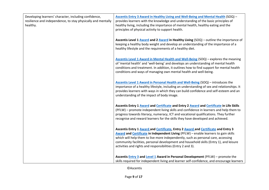| Developing learners' character, including confidence,<br>resilience and independence, to stay physically and mentally<br>healthy. | Ascentis Entry 3 Award in Healthy Living and Well-Being and Mental Health (SOQ) -<br>provides learners with the knowledge and understanding of the basic principles of<br>healthy living, including the importance of mental health, healthy eating and the<br>principles of physical activity to support health.                                                                                                      |
|-----------------------------------------------------------------------------------------------------------------------------------|------------------------------------------------------------------------------------------------------------------------------------------------------------------------------------------------------------------------------------------------------------------------------------------------------------------------------------------------------------------------------------------------------------------------|
|                                                                                                                                   | Ascentis Level 1 Award and 2 Award in Healthy Living (SOQ) - outline the importance of<br>keeping a healthy body weight and develop an understanding of the importance of a<br>healthy lifestyle and the requirements of a healthy diet.                                                                                                                                                                               |
|                                                                                                                                   | Ascentis Level 1 Award in Mental Health and Well-Being (SOQ) - explores the meaning<br>of 'mental health' and 'well-being' and develops an understanding of mental health<br>conditions and treatment. In addition, it outlines how to find support for mental health<br>conditions and ways of managing own mental health and well-being.                                                                             |
|                                                                                                                                   | Ascentis Level 1 Award in Personal Health and Well-Being (SOQ) - introduces the<br>importance of a healthy lifestyle, including an understanding of sex and relationships. It<br>provides learners with ways in which they can build confidence and self-esteem and an<br>understanding of the impact of body image.                                                                                                   |
|                                                                                                                                   | Ascentis Entry 1 Award and Certificate and Entry 2 Award and Certificate in Life Skills<br>(PFLW) - promote independent living skills and confidence in learners and help them to<br>progress towards literacy, numeracy, ICT and vocational qualifications. They further<br>recognise and reward learners for the skills they have developed and achieved.                                                            |
|                                                                                                                                   | Ascentis Entry 1 Award and Certificate, Entry 2 Award and Certificate and Entry 3<br>Award and Certificate in Independent Living (PFLW) - enable learners to gain skills<br>which will help them to live more independently, such as personal care, accessing<br>community facilities, personal development and household skills (Entry 1), and leisure<br>activities and rights and responsibilities (Entry 2 and 3). |
|                                                                                                                                   | Ascentis <b>Entry 3 and Level 1 Award in Personal Development</b> (PFLW) - promote the<br>skills required for independent living and learner self-confidence, and encourage learners                                                                                                                                                                                                                                   |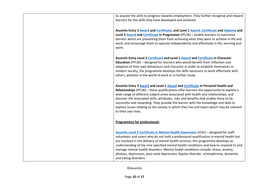| to acquire the skills to progress towards employment. They further recognise and reward<br>learners for the skills they have developed and achieved.                                                                                                                                                                                                                                                                                                                                                                                                                    |
|-------------------------------------------------------------------------------------------------------------------------------------------------------------------------------------------------------------------------------------------------------------------------------------------------------------------------------------------------------------------------------------------------------------------------------------------------------------------------------------------------------------------------------------------------------------------------|
| Ascentis Entry 3 Award and Certificate, and Level 1 Award, Certificate and Diploma and<br>Level 2 Award and Certificate in Progression (PFLW) - enable learners to overcome<br>barriers which are preventing them from achieving what they want to achieve in life and<br>work, and encourage them to operate independently and effectively in life, learning and<br>work.                                                                                                                                                                                              |
| Ascentis Entry Level 3 Certificate and Level 1 Award and Certificate in Character<br>Education (PFLW) - designed for learners who would benefit from reflection and<br>adaption of their own behaviours and character in order to establish themselves in<br>modern society, the programme develops the skills necessary to work effectively with<br>others, whether in the world of work or in further study.                                                                                                                                                          |
| Ascentis Entry 3 Award and Level 1 Award and Certificate in Personal Health and<br>Relationships (PFLW) - these qualifications offer learners the opportunity to explore a<br>wide range of different subject areas associated with health and relationships, and<br>discover the associated skills, attributes, risks and benefits that enable these to be<br>successful and rewarding. They provide the learner with the knowledge and skills to<br>explore issues relating to the society in which they live and topics which may be relevant<br>to their own lives. |
| <b>Programmes for professionals</b>                                                                                                                                                                                                                                                                                                                                                                                                                                                                                                                                     |
| Ascentis Level 2 Certificate in Mental Health Awareness (VOC) - designed for staff,<br>volunteers and carers who do not hold a professional qualification in mental health but<br>are involved in the delivery of mental health services, this programme develops an<br>understanding of the nine specified mental health conditions and how to respond to and<br>manage mental health disorders. Mental health conditions include: stress, anxiety,<br>phobias, depression, post-natal depression, bipolar disorder, schizophrenia, dementia<br>and eating disorders.  |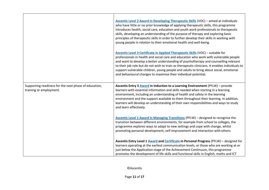|                                                                                  | Ascentis Level 2 Award in Developing Therapeutic Skills (VOC) - aimed at individuals<br>who have little or no prior knowledge of applying therapeutic skills, this programme<br>introduces health, social care, education and youth work professionals to therapeutic<br>skills, developing an understanding of the purpose of therapy and exploring basic<br>principles of therapeutic skills in order to further develop their skills in working with<br>young people in relation to their emotional health and well-being.   |
|----------------------------------------------------------------------------------|---------------------------------------------------------------------------------------------------------------------------------------------------------------------------------------------------------------------------------------------------------------------------------------------------------------------------------------------------------------------------------------------------------------------------------------------------------------------------------------------------------------------------------|
|                                                                                  | Ascentis Level 3 Certificate in Applied Therapeutic Skills (VOC) - suitable for<br>professionals in health and social care and education who work with vulnerable people<br>and want to develop a better understanding of psychotherapy and counselling relevant<br>to their job role but do not wish to train as therapeutic clinicians. It enables individuals to<br>support vulnerable children, young people and adults to bring about social, emotional<br>and behavioural changes to maximise their individual potential. |
| Supporting readiness for the next phase of education,<br>training or employment. | Ascentis Entry 3 Award in Induction to a Learning Environment (PFLW) - provide<br>learners with essential information and skills needed when starting in a learning<br>environment, including an understanding of health and safety in the learning<br>environment and the support available to them throughout their learning. In addition,<br>learners will develop an understanding of their own responsibilities and ways to study<br>and learn effectively.                                                                |
|                                                                                  | <b>Ascentis Level 1 Award in Managing Transitions (PFLW) - designed to recognise the</b><br>transition between different environments, for example from school to colleges, the<br>programme explores ways to adapt to new settings and cope with change, whilst<br>promoting personal development, self-improvement and interaction with others.                                                                                                                                                                               |
|                                                                                  | Ascentis Entry Level 1 Award and Certificate in Personal Progress (PFLW) - designed for<br>learners operating at the earliest communication levels, or those who are working at or<br>just below the Application stage of the Achievement Continuum, this programme<br>promotes the development of life skills and functional skills in English, maths and ICT                                                                                                                                                                  |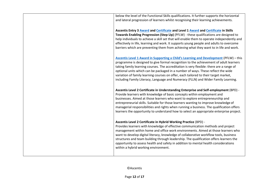| below the level of the Functional Skills qualifications. It further supports the horizontal                                                                                                                                                                                                                                                                                                                                                                                                                                                              |
|----------------------------------------------------------------------------------------------------------------------------------------------------------------------------------------------------------------------------------------------------------------------------------------------------------------------------------------------------------------------------------------------------------------------------------------------------------------------------------------------------------------------------------------------------------|
| and lateral progression of learners whilst recognising their learning achievements.                                                                                                                                                                                                                                                                                                                                                                                                                                                                      |
| Ascentis Entry 3 Award and Certificate and Level 1 Award and Certificate in Skills<br>Towards Enabling Progression (Step Up) (PFLW) - these qualifications are designed to<br>help individuals to achieve a skill set that will enable them to operate independently and<br>effectively in life, learning and work. It supports young people and adults to overcome<br>barriers which are preventing them from achieving what they want to in life and work.                                                                                             |
| Ascentis Level 1 Award in Supporting a Child's Learning and Development (PFLW) - this<br>programme is designed to give formal recognition to the achievement of adult learners<br>taking family learning courses. The accreditation is very flexible: there are a range of<br>optional units which can be packaged in a number of ways. These reflect the wide<br>variation of family learning courses on offer, each tailored to their target market,<br>including Family Literacy, Language and Numeracy (FLLN) and Wider Family Learning.             |
| Ascentis Level 2 Certificate in Understanding Enterprise and Self-employment (BPD) -<br>Provide learners with knowledge of basic concepts within employment and<br>businesses. Aimed at those learners who want to explore entrepreneurship and<br>entrepreneurial skills. Suitable for those learners wanting to improve knowledge of<br>managerial responsibilities and rights when running a business. The qualification offers<br>learners the opportunity to understand how to select an appropriate enterprise project.                            |
| Ascentis Level 2 Certificate in Hybrid Working Practice (BPD) -<br>Provides learners with knowledge of effective communication methods and project<br>management within home and office work environments. Aimed at those learners who<br>want to develop digital literacy, knowledge of collaborative workflow tools, business<br>structures and team building through leadership. The qualification offers learners the<br>opportunity to assess health and safety in addition to mental health considerations<br>within a hybrid working environment. |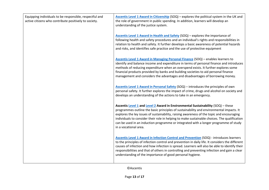| Equipping individuals to be responsible, respectful and<br>active citizens who contribute positively to society. | Ascentis Level 1 Award in Citizenship (SOQ) - explores the political system in the UK and<br>the role of government in public spending. In addition, learners will develop an<br>understanding of the justice system.                                                                                                                                                                                                                                                                     |
|------------------------------------------------------------------------------------------------------------------|-------------------------------------------------------------------------------------------------------------------------------------------------------------------------------------------------------------------------------------------------------------------------------------------------------------------------------------------------------------------------------------------------------------------------------------------------------------------------------------------|
|                                                                                                                  | Ascentis Level 1 Award in Health and Safety (SOQ) - explores the importance of<br>following health and safety procedures and an individual's rights and responsibilities in<br>relation to health and safety. It further develops a basic awareness of potential hazards<br>and risks, and identifies safe practice and the use of protective equipment                                                                                                                                   |
|                                                                                                                  | Ascentis Level 1 Award in Managing Personal Finance (SOQ) - enables learners to<br>identify and balance income and expenditure in terms of personal finance and introduces<br>methods of reducing expenditure when an overspend exists. It further explores some<br>financial products provided by banks and building societies to aid personal finance<br>management and considers the advantages and disadvantages of borrowing money.                                                  |
|                                                                                                                  | Ascentis Level 1 Award in Personal Safety (SOQ) - introduces the principles of own<br>personal safety. It further explores the impact of crime, drugs and alcohol on society and<br>develops an understanding of the actions to take in an emergency.                                                                                                                                                                                                                                     |
|                                                                                                                  | Ascentis Level 1 and Level 2 Award in Environmental Sustainability (SOQ) - these<br>programmes outline the basic principles of sustainability and environmental impacts. It<br>explores the ley issues of sustainability, raising awareness of the topic and encouraging<br>individuals to consider their role in helping to make sustainable choices. The qualification<br>can be used in an induction programme or integrated with a longer programme of study<br>in a vocational area. |
|                                                                                                                  | <b>Ascentis Level 1 Award in Infection Control and Prevention (SOQ) - introduces learners</b><br>to the principles of infection control and prevention in daily life. It considers the different<br>causes of infection and how infection is spread. Learners will also be able to identify their<br>responsibilities and that of others in controlling and preventing infection and gain a clear<br>understanding of the importance of good personal hygiene.                            |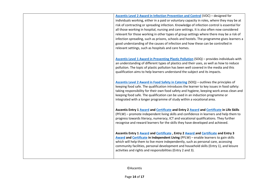|  | <b>Ascentis Level 2 Award in Infection Prevention and Control (VOC) - designed for</b><br>individuals working, either in a paid or voluntary capacity in roles, where they may be at<br>risk of contracting or spreading infection. Knowledge of infection control is essential for<br>all those working in hospital, nursing and care settings. It is also often now considered<br>relevant for those working in other types of group settings where there may be a risk of<br>infection spreading, such as prisons, schools and hostels. The programme gives learners a<br>good understanding of the causes of infection and how these can be controlled in<br>relevant settings, such as hospitals and care homes. |
|--|-----------------------------------------------------------------------------------------------------------------------------------------------------------------------------------------------------------------------------------------------------------------------------------------------------------------------------------------------------------------------------------------------------------------------------------------------------------------------------------------------------------------------------------------------------------------------------------------------------------------------------------------------------------------------------------------------------------------------|
|  | Ascentis Level 1 Award in Preventing Plastic Pollution (SOQ) - provides individuals with<br>an understanding of different types of plastics and their uses, as well as how to reduce<br>pollution. The topic of plastic pollution has been well covered in the media and this<br>qualification aims to help learners understand the subject and its impacts.                                                                                                                                                                                                                                                                                                                                                          |
|  | Ascentis Level 2 Award in Food Safety in Catering (SOQ) – outlines the principles of<br>keeping food safe. The qualification introduces the learner to key issues in food safety:<br>taking responsibility for their own food safety and hygiene, keeping work areas clean and<br>keeping food safe. The qualification can be used in an induction programme or<br>integrated with a longer programme of study within a vocational area.                                                                                                                                                                                                                                                                              |
|  | Ascentis Entry 1 Award and Certificate and Entry 2 Award and Certificate in Life Skills<br>(PFLW) - promote independent living skills and confidence in learners and help them to<br>progress towards literacy, numeracy, ICT and vocational qualifications. They further<br>recognise and reward learners for the skills they have developed and achieved.                                                                                                                                                                                                                                                                                                                                                           |
|  | Ascentis Entry 1 Award and Certificate, Entry 2 Award and Certificate and Entry 3<br>Award and Certificate in Independent Living (PFLW) - enable learners to gain skills<br>which will help them to live more independently, such as personal care, accessing<br>community facilities, personal development and household skills (Entry 1), and leisure<br>activities and rights and responsibilities (Entry 2 and 3).                                                                                                                                                                                                                                                                                                |
|  |                                                                                                                                                                                                                                                                                                                                                                                                                                                                                                                                                                                                                                                                                                                       |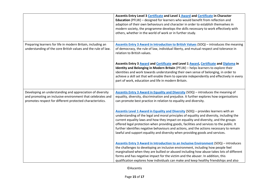|                                                                                                                                                                                      | Ascentis Entry Level 3 Certificate and Level 1 Award and Certificate in Character<br>Education (PFLW) - designed for learners who would benefit from reflection and<br>adaption of their own behaviours and character in order to establish themselves in<br>modern society, the programme develops the skills necessary to work effectively with<br>others, whether in the world of work or in further study.                                                                                                                               |
|--------------------------------------------------------------------------------------------------------------------------------------------------------------------------------------|----------------------------------------------------------------------------------------------------------------------------------------------------------------------------------------------------------------------------------------------------------------------------------------------------------------------------------------------------------------------------------------------------------------------------------------------------------------------------------------------------------------------------------------------|
| Preparing learners for life in modern Britain, including an<br>understanding of the core British values and the rule of law.                                                         | Ascentis Entry 3 Award in Introduction to British Values (SOQ) - introduces the meaning<br>of democracy, the rule of law, individual liberty, and mutual respect and tolerance in<br>relation to British values.                                                                                                                                                                                                                                                                                                                             |
|                                                                                                                                                                                      | Ascentis Entry 3 Award and Certificate and Level 1 Award, Certificate and Diploma in<br>Identity and Belonging in Modern Britain (PFLW) - helps learners to explore their<br>identities and work towards understanding their own sense of belonging, in order to<br>achieve a skill set that will enable them to operate independently and effectively in every<br>part of work, education and life in modern Britain.                                                                                                                       |
| Developing an understanding and appreciation of diversity<br>and promoting an inclusive environment that celebrates and<br>promotes respect for different protected characteristics. | Ascentis Entry 3 Award in Equality and Diversity (SOQ) - introduces the meaning of<br>equality, diversity, discrimination and prejudice. It further explores how organisations<br>can promote best practice in relation to equality and diversity.                                                                                                                                                                                                                                                                                           |
|                                                                                                                                                                                      | Ascentis Level 1 Award in Equality and Diversity (SOQ) - provides learners with an<br>understanding of the legal and moral principles of equality and diversity, including the<br>current equality laws and how they impact on equality and diversity, and the groups<br>offered legal protection when providing goods, facilities and services to the public. It<br>further identifies negative behaviours and actions, and the actions necessary to remain<br>lawful and support equality and diversity when providing goods and services. |
|                                                                                                                                                                                      | Ascentis Entry 3 Award in Introduction to an Inclusive Environment (SOQ) - introduces<br>the challenges to developing an inclusive environment, including how people feel<br>marginalised when they are bullied or abused including how abuse takes lots of different<br>forms and has negative impact for the victim and the abuser. In addition, this<br>qualification explores how individuals can make and keep healthy friendships and also                                                                                             |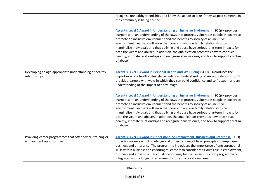|                                                                                         | recognise unhealthy friendships and know the action to take if they suspect someone in<br>the community is being abused.                                                                                                                                                                                                                                                                                                                                                                                                                                                                                                                        |
|-----------------------------------------------------------------------------------------|-------------------------------------------------------------------------------------------------------------------------------------------------------------------------------------------------------------------------------------------------------------------------------------------------------------------------------------------------------------------------------------------------------------------------------------------------------------------------------------------------------------------------------------------------------------------------------------------------------------------------------------------------|
|                                                                                         | <b>Ascentis Level 1 Award in Understanding an Inclusive Environment (SOQ) - provides</b><br>learners with an understanding of the laws that protects vulnerable people in society to<br>promote an inclusive environment and the benefits to society of an inclusive<br>environment. Learners will learn that poor and abusive family relationships can<br>marginalise individuals and that bullying and abuse have serious long-term impacts for<br>both the victim and abuser. In addition, the qualification promotes how to conduct<br>healthy, intimate relationships and recognise abusive ones, and how to support a victim<br>of abuse. |
| Developing an age-appropriate understanding of healthy<br>relationships.                | Ascentis Level 1 Award in Personal Health and Well-Being (SOQ) - introduces the<br>importance of a healthy lifestyle, including an understanding of sex and relationships. It<br>provides learners with ways in which they can build confidence and self-esteem and an<br>understanding of the impact of body image.                                                                                                                                                                                                                                                                                                                            |
|                                                                                         | Ascentis Level 1 Award in Understanding an Inclusive Environment (SOQ) - provides<br>learners with an understanding of the laws that protects vulnerable people in society to<br>promote an inclusive environment and the benefits to society of an inclusive<br>environment. Learners will learn that poor and abusive family relationships can<br>marginalise individuals and that bullying and abuse have serious long-term impacts for<br>both the victim and abuser. In addition, the qualification promotes how to conduct<br>healthy, intimate relationships and recognise abusive ones, and how to support a victim<br>of abuse.        |
| Providing career programmes that offer advice, training or<br>employment opportunities. | <b>Ascentis Level 1 Award in Understanding Employment, Business and Enterprise (SOQ) -</b><br>provides learners with knowledge and understanding of basic principles of employment,<br>business and enterprise. The programme introduces the importance of entrepreneurial<br>skills within business and encourages learners to consider their own role in employment,<br>business and enterprise. This qualification may be used in an induction programme or<br>integrated with a longer programme of study in a vocational area.                                                                                                             |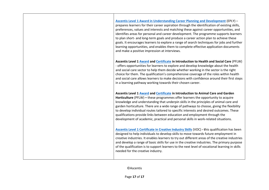**[Ascentis Level 1 Award in Understanding Career Planning and Development](https://findalearningaimbeta.fasst.org.uk/LearningAimDetails/60349360?academicYear=2122)** (EPLY) – prepares learners for their career aspiration through the identification of existing skills, preferences, values and interests and matching these against career opportunities, and identifies areas for personal and career development. The programme supports learners to plan short- and long-term goals and produce a career action plan to achieve these goals. It encourages learners to explore a range of search techniques for jobs and further learning opportunities, and enables them to complete effective application documents and make a positive impression at interviews.

**Ascentis Level 1 [Award](https://findalearningaimbeta.fasst.org.uk/LearningAimDetails/6035947X?academicYear=2122) an[d Certificate](https://findalearningaimbeta.fasst.org.uk/LearningAimDetails/60359481?academicYear=2122) in Introduction to Health and Social Care** (PFLW) - offers opportunities for learners to explore and develop knowledge about the health

and social care sector to help them decide whether working in the sector is the right choice for them. The qualification's comprehensive coverage of the roles within health and social care allows learners to make decisions with confidence around their first steps in a learning pathway working towards their chosen career.

**Ascentis Level 1 [Award](https://findalearningaimbeta.fasst.org.uk/LearningAimDetails/60359717?academicYear=2122) an[d Certificate](https://findalearningaimbeta.fasst.org.uk/LearningAimDetails/60359729?academicYear=2122) in Introduction to Animal Care and Garden** 

**Horticulture** (PFLW) **–** these programmes offer learners the opportunity to acquire knowledge and understanding that underpin skills in the principles of animal care and garden horticulture. There are a wide range of pathways to choose, giving the flexibility to develop individual routes tailored to specific interests and desired outcomes. These qualifications provide links between education and employment through the development of academic, practical and personal skills in work-related situations.

**[Ascentis Level 1 Certificate in Creative Industry Skills](https://findalearningaimbeta.fasst.org.uk/LearningAimDetails/60175400?academicYear=2122)** (VOC) **- t**his qualification has been designed to help individuals to develop skills to move towards future employment in creative industries. It enables learners to try out different areas of the creative industries and develop a range of basic skills for use in the creative industries. The primary purpose of the qualification is to support learners to the next level of vocational learning in skills needed for the creative industry.